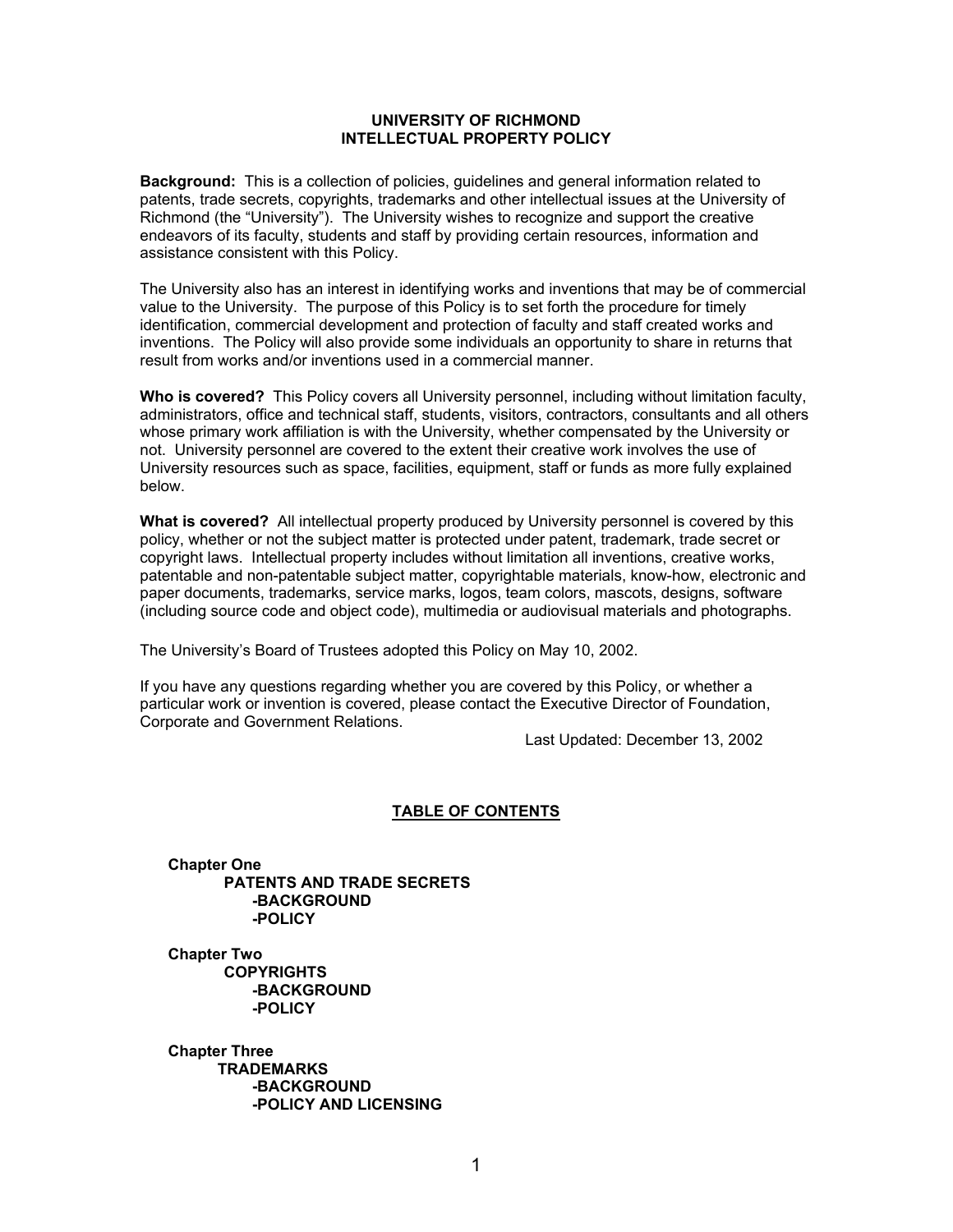#### **UNIVERSITY OF RICHMOND INTELLECTUAL PROPERTY POLICY**

 **Background:** This is a collection of policies, guidelines and general information related to patents, trade secrets, copyrights, trademarks and other intellectual issues at the University of Richmond (the "University"). The University wishes to recognize and support the creative endeavors of its faculty, students and staff by providing certain resources, information and assistance consistent with this Policy.

The University also has an interest in identifying works and inventions that may be of commercial value to the University. The purpose of this Policy is to set forth the procedure for timely identification, commercial development and protection of faculty and staff created works and inventions. The Policy will also provide some individuals an opportunity to share in returns that result from works and/or inventions used in a commercial manner.

**Who is covered?** This Policy covers all University personnel, including without limitation faculty, administrators, office and technical staff, students, visitors, contractors, consultants and all others whose primary work affiliation is with the University, whether compensated by the University or not. University personnel are covered to the extent their creative work involves the use of University resources such as space, facilities, equipment, staff or funds as more fully explained below.

**What is covered?** All intellectual property produced by University personnel is covered by this policy, whether or not the subject matter is protected under patent, trademark, trade secret or copyright laws. Intellectual property includes without limitation all inventions, creative works, patentable and non-patentable subject matter, copyrightable materials, know-how, electronic and paper documents, trademarks, service marks, logos, team colors, mascots, designs, software (including source code and object code), multimedia or audiovisual materials and photographs.

The University's Board of Trustees adopted this Policy on May 10, 2002.

If you have any questions regarding whether you are covered by this Policy, or whether a particular work or invention is covered, please contact the Executive Director of Foundation, Corporate and Government Relations.

Last Updated: December 13, 2002

#### **TABLE OF CONTENTS**

**Chapter One PATENTS AND TRADE SECRETS -BACKGROUND -POLICY** 

**Chapter Two COPYRIGHTS -BACKGROUND -POLICY** 

 **Chapter Three TRADEMARKS -BACKGROUND -POLICY AND LICENSING**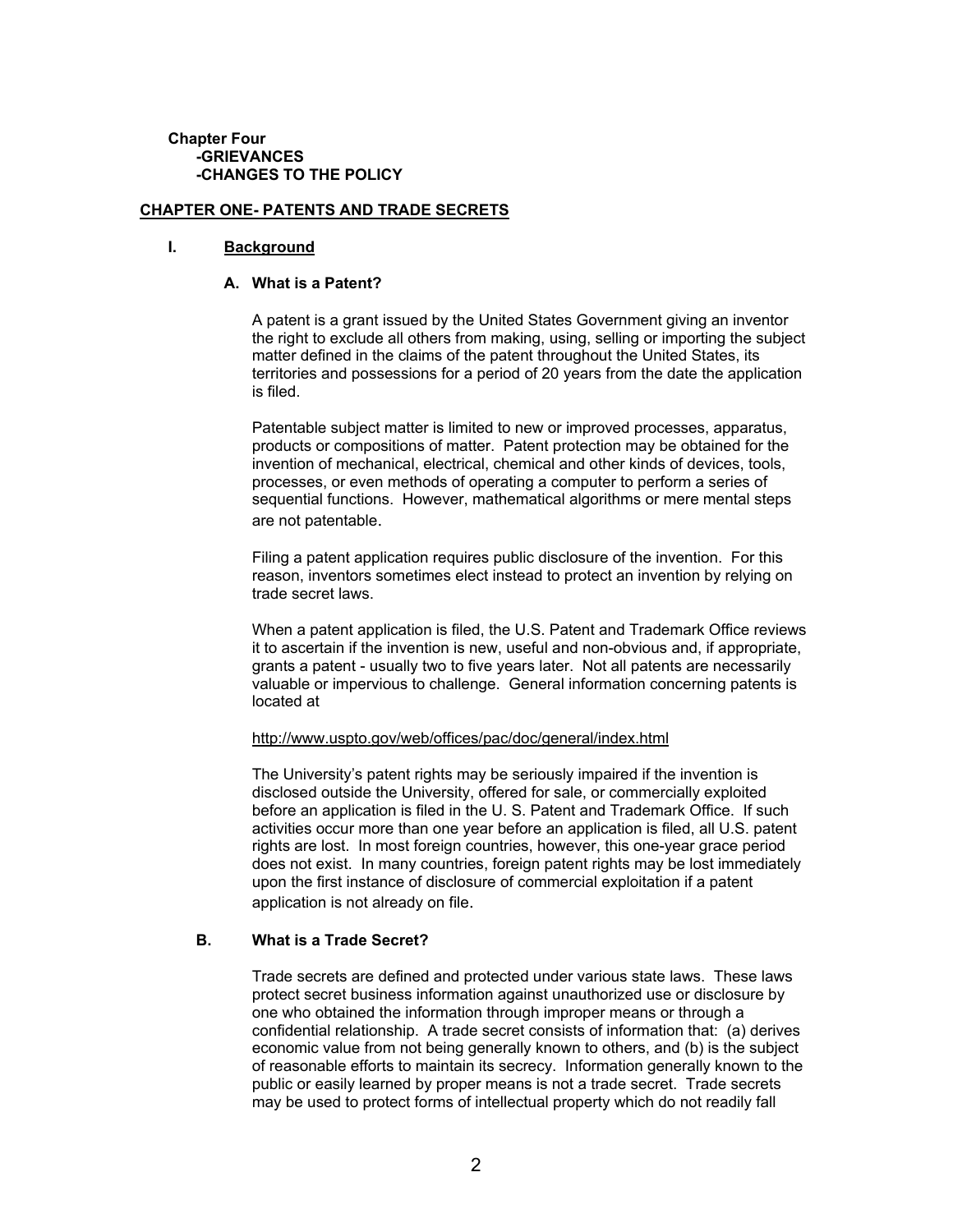#### **Chapter Four -GRIEVANCES -CHANGES TO THE POLICY**

#### **CHAPTER ONE- PATENTS AND TRADE SECRETS**

#### **I. Background**

#### **A. What is a Patent?**

A patent is a grant issued by the United States Government giving an inventor the right to exclude all others from making, using, selling or importing the subject matter defined in the claims of the patent throughout the United States, its territories and possessions for a period of 20 years from the date the application is filed.

Patentable subject matter is limited to new or improved processes, apparatus, products or compositions of matter. Patent protection may be obtained for the invention of mechanical, electrical, chemical and other kinds of devices, tools, processes, or even methods of operating a computer to perform a series of sequential functions. However, mathematical algorithms or mere mental steps are not patentable.

Filing a patent application requires public disclosure of the invention. For this reason, inventors sometimes elect instead to protect an invention by relying on trade secret laws.

When a patent application is filed, the U.S. Patent and Trademark Office reviews it to ascertain if the invention is new, useful and non-obvious and, if appropriate, grants a patent - usually two to five years later. Not all patents are necessarily valuable or impervious to challenge. General information concerning patents is located at

#### <http://www.uspto.gov/web/offices/pac/doc/general/index.html>

The University's patent rights may be seriously impaired if the invention is disclosed outside the University, offered for sale, or commercially exploited before an application is filed in the U. S. Patent and Trademark Office. If such activities occur more than one year before an application is filed, all U.S. patent rights are lost. In most foreign countries, however, this one-year grace period does not exist. In many countries, foreign patent rights may be lost immediately upon the first instance of disclosure of commercial exploitation if a patent application is not already on file.

#### **B. What is a Trade Secret?**

Trade secrets are defined and protected under various state laws. These laws protect secret business information against unauthorized use or disclosure by one who obtained the information through improper means or through a confidential relationship. A trade secret consists of information that: (a) derives economic value from not being generally known to others, and (b) is the subject of reasonable efforts to maintain its secrecy. Information generally known to the public or easily learned by proper means is not a trade secret. Trade secrets may be used to protect forms of intellectual property which do not readily fall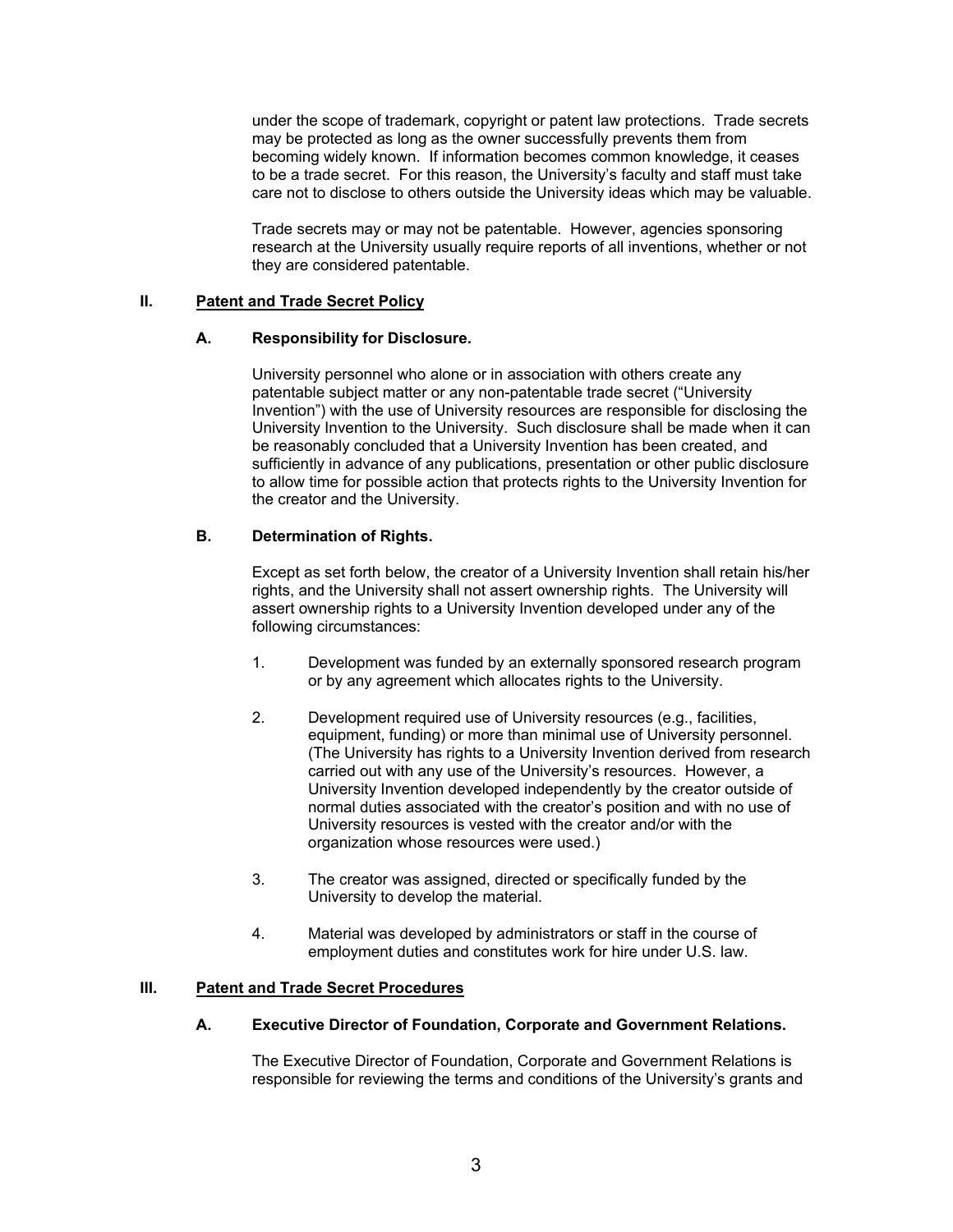under the scope of trademark, copyright or patent law protections. Trade secrets may be protected as long as the owner successfully prevents them from becoming widely known. If information becomes common knowledge, it ceases to be a trade secret. For this reason, the University's faculty and staff must take care not to disclose to others outside the University ideas which may be valuable.

Trade secrets may or may not be patentable. However, agencies sponsoring research at the University usually require reports of all inventions, whether or not they are considered patentable.

### **II. Patent and Trade Secret Policy**

# **A. Responsibility for Disclosure.**

University personnel who alone or in association with others create any patentable subject matter or any non-patentable trade secret ("University Invention") with the use of University resources are responsible for disclosing the University Invention to the University. Such disclosure shall be made when it can be reasonably concluded that a University Invention has been created, and sufficiently in advance of any publications, presentation or other public disclosure to allow time for possible action that protects rights to the University Invention for the creator and the University.

# **B. Determination of Rights.**

Except as set forth below, the creator of a University Invention shall retain his/her rights, and the University shall not assert ownership rights. The University will assert ownership rights to a University Invention developed under any of the following circumstances:

- 1. Development was funded by an externally sponsored research program or by any agreement which allocates rights to the University.
- 2. Development required use of University resources (e.g., facilities, equipment, funding) or more than minimal use of University personnel. (The University has rights to a University Invention derived from research carried out with any use of the University's resources. However, a University Invention developed independently by the creator outside of normal duties associated with the creator's position and with no use of University resources is vested with the creator and/or with the organization whose resources were used.)
- 3. The creator was assigned, directed or specifically funded by the University to develop the material.
- 4. Material was developed by administrators or staff in the course of employment duties and constitutes work for hire under U.S. law.

# **III. Patent and Trade Secret Procedures**

# **A. Executive Director of Foundation, Corporate and Government Relations.**

The Executive Director of Foundation, Corporate and Government Relations is responsible for reviewing the terms and conditions of the University's grants and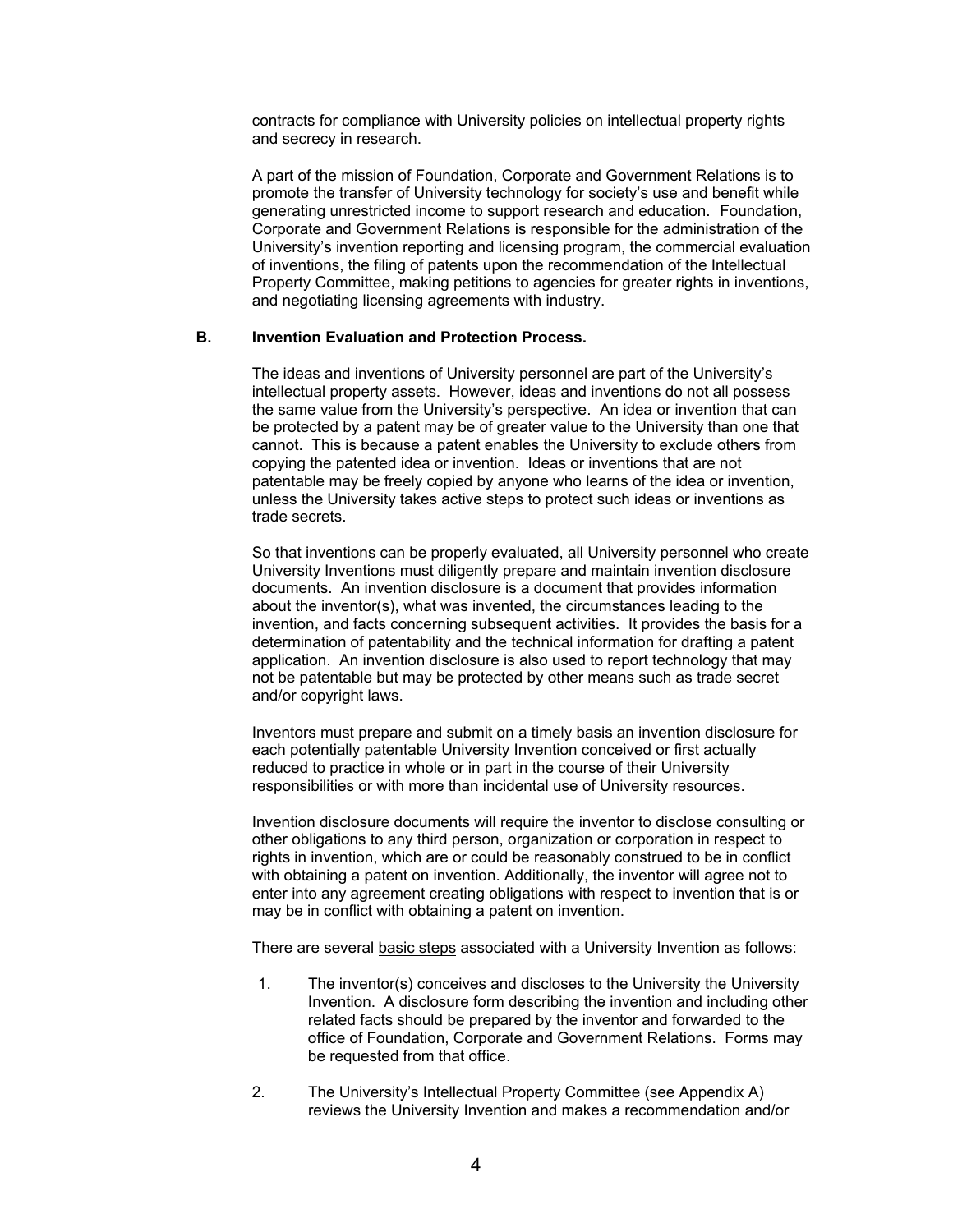contracts for compliance with University policies on intellectual property rights and secrecy in research.

A part of the mission of Foundation, Corporate and Government Relations is to promote the transfer of University technology for society's use and benefit while generating unrestricted income to support research and education. Foundation, Corporate and Government Relations is responsible for the administration of the University's invention reporting and licensing program, the commercial evaluation of inventions, the filing of patents upon the recommendation of the Intellectual Property Committee, making petitions to agencies for greater rights in inventions, and negotiating licensing agreements with industry.

#### **B. Invention Evaluation and Protection Process.**

The ideas and inventions of University personnel are part of the University's intellectual property assets. However, ideas and inventions do not all possess the same value from the University's perspective. An idea or invention that can be protected by a patent may be of greater value to the University than one that cannot. This is because a patent enables the University to exclude others from copying the patented idea or invention. Ideas or inventions that are not patentable may be freely copied by anyone who learns of the idea or invention, unless the University takes active steps to protect such ideas or inventions as trade secrets.

So that inventions can be properly evaluated, all University personnel who create University Inventions must diligently prepare and maintain invention disclosure documents. An invention disclosure is a document that provides information about the inventor(s), what was invented, the circumstances leading to the invention, and facts concerning subsequent activities. It provides the basis for a determination of patentability and the technical information for drafting a patent application. An invention disclosure is also used to report technology that may not be patentable but may be protected by other means such as trade secret and/or copyright laws.

Inventors must prepare and submit on a timely basis an invention disclosure for each potentially patentable University Invention conceived or first actually reduced to practice in whole or in part in the course of their University responsibilities or with more than incidental use of University resources.

Invention disclosure documents will require the inventor to disclose consulting or other obligations to any third person, organization or corporation in respect to rights in invention, which are or could be reasonably construed to be in conflict with obtaining a patent on invention. Additionally, the inventor will agree not to enter into any agreement creating obligations with respect to invention that is or may be in conflict with obtaining a patent on invention.

There are several basic steps associated with a University Invention as follows:

- 1. The inventor(s) conceives and discloses to the University the University Invention. A disclosure form describing the invention and including other related facts should be prepared by the inventor and forwarded to the office of Foundation, Corporate and Government Relations. Forms may be requested from that office.
- 2. The University's Intellectual Property Committee (see Appendix A) reviews the University Invention and makes a recommendation and/or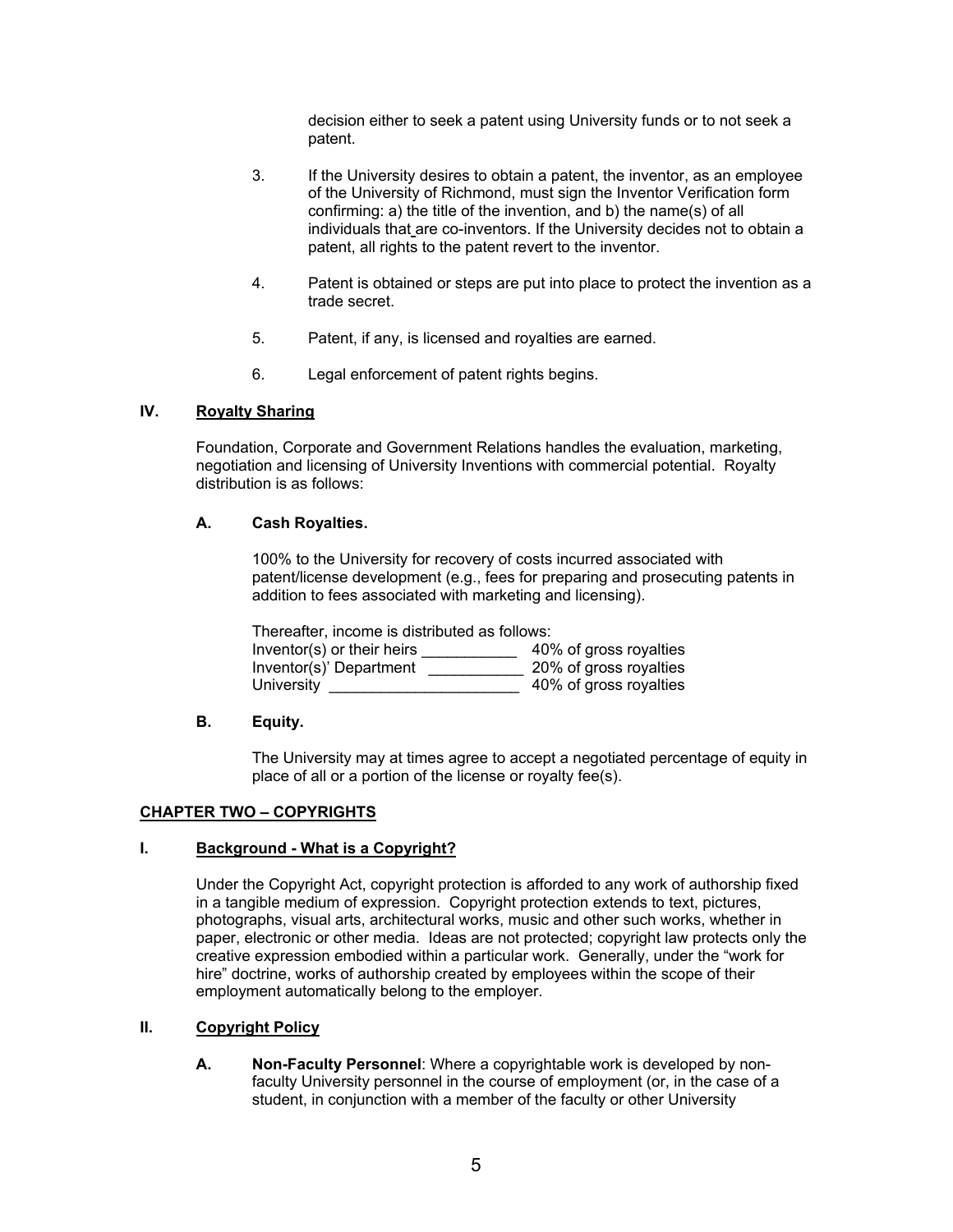decision either to seek a patent using University funds or to not seek a patent.

- 3. If the University desires to obtain a patent, the inventor, as an employee of the University of Richmond, must sign the Inventor Verification form confirming: a) the title of the invention, and b) the name(s) of all individuals that are co-inventors. If the University decides not to obtain a patent, all rights to the patent revert to the inventor.
- 4. Patent is obtained or steps are put into place to protect the invention as a trade secret.
- 5. Patent, if any, is licensed and royalties are earned.
- 6. Legal enforcement of patent rights begins.

# **IV. Royalty Sharing**

Foundation, Corporate and Government Relations handles the evaluation, marketing, negotiation and licensing of University Inventions with commercial potential. Royalty distribution is as follows:

### **A. Cash Royalties.**

100% to the University for recovery of costs incurred associated with patent/license development (e.g., fees for preparing and prosecuting patents in addition to fees associated with marketing and licensing).

| Thereafter, income is distributed as follows: |                        |  |  |
|-----------------------------------------------|------------------------|--|--|
| Inventor(s) or their heirs                    | 40% of gross royalties |  |  |
| Inventor(s)' Department                       | 20% of gross royalties |  |  |
| University                                    | 40% of gross royalties |  |  |

### **B. Equity.**

The University may at times agree to accept a negotiated percentage of equity in place of all or a portion of the license or royalty fee(s).

#### **CHAPTER TWO – COPYRIGHTS**

#### **I. Background - What is a Copyright?**

Under the Copyright Act, copyright protection is afforded to any work of authorship fixed in a tangible medium of expression. Copyright protection extends to text, pictures, photographs, visual arts, architectural works, music and other such works, whether in paper, electronic or other media. Ideas are not protected; copyright law protects only the creative expression embodied within a particular work. Generally, under the "work for hire" doctrine, works of authorship created by employees within the scope of their employment automatically belong to the employer.

# **II. Copyright Policy**

**A. Non-Faculty Personnel**: Where a copyrightable work is developed by nonfaculty University personnel in the course of employment (or, in the case of a student, in conjunction with a member of the faculty or other University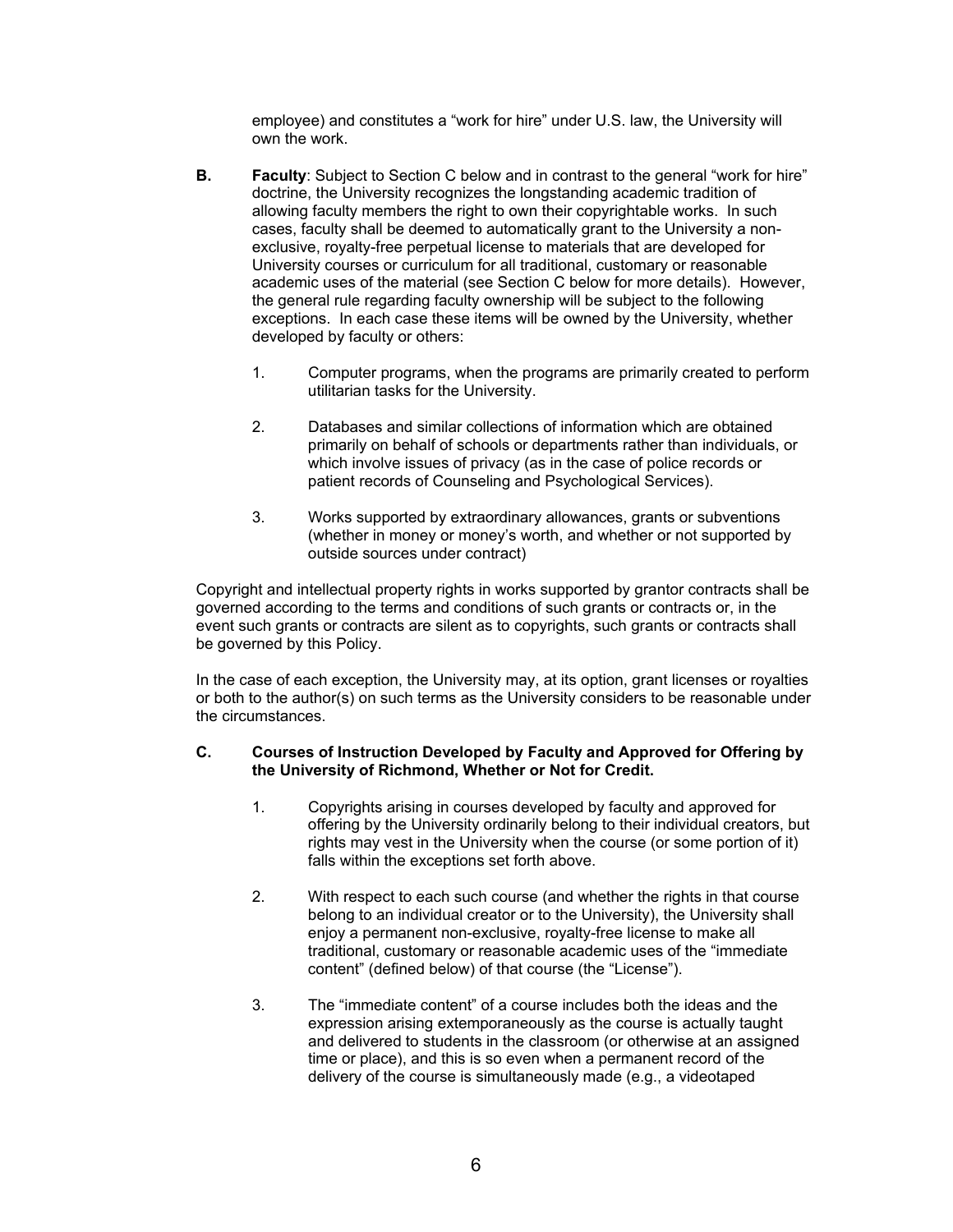employee) and constitutes a "work for hire" under U.S. law, the University will own the work.

- **B. Faculty:** Subject to Section C below and in contrast to the general "work for hire" doctrine, the University recognizes the longstanding academic tradition of allowing faculty members the right to own their copyrightable works. In such cases, faculty shall be deemed to automatically grant to the University a nonexclusive, royalty-free perpetual license to materials that are developed for University courses or curriculum for all traditional, customary or reasonable academic uses of the material (see Section C below for more details). However, the general rule regarding faculty ownership will be subject to the following exceptions. In each case these items will be owned by the University, whether developed by faculty or others:
	- 1. Computer programs, when the programs are primarily created to perform utilitarian tasks for the University.
	- 2. Databases and similar collections of information which are obtained primarily on behalf of schools or departments rather than individuals, or which involve issues of privacy (as in the case of police records or patient records of Counseling and Psychological Services).
	- 3. Works supported by extraordinary allowances, grants or subventions (whether in money or money's worth, and whether or not supported by outside sources under contract)

Copyright and intellectual property rights in works supported by grantor contracts shall be governed according to the terms and conditions of such grants or contracts or, in the event such grants or contracts are silent as to copyrights, such grants or contracts shall be governed by this Policy.

In the case of each exception, the University may, at its option, grant licenses or royalties or both to the author(s) on such terms as the University considers to be reasonable under the circumstances.

### **C. Courses of Instruction Developed by Faculty and Approved for Offering by the University of Richmond, Whether or Not for Credit.**

- 1. Copyrights arising in courses developed by faculty and approved for offering by the University ordinarily belong to their individual creators, but rights may vest in the University when the course (or some portion of it) falls within the exceptions set forth above.
- 2. With respect to each such course (and whether the rights in that course belong to an individual creator or to the University), the University shall enjoy a permanent non-exclusive, royalty-free license to make all traditional, customary or reasonable academic uses of the "immediate content" (defined below) of that course (the "License").
- 3. The "immediate content" of a course includes both the ideas and the expression arising extemporaneously as the course is actually taught and delivered to students in the classroom (or otherwise at an assigned time or place), and this is so even when a permanent record of the delivery of the course is simultaneously made (e.g., a videotaped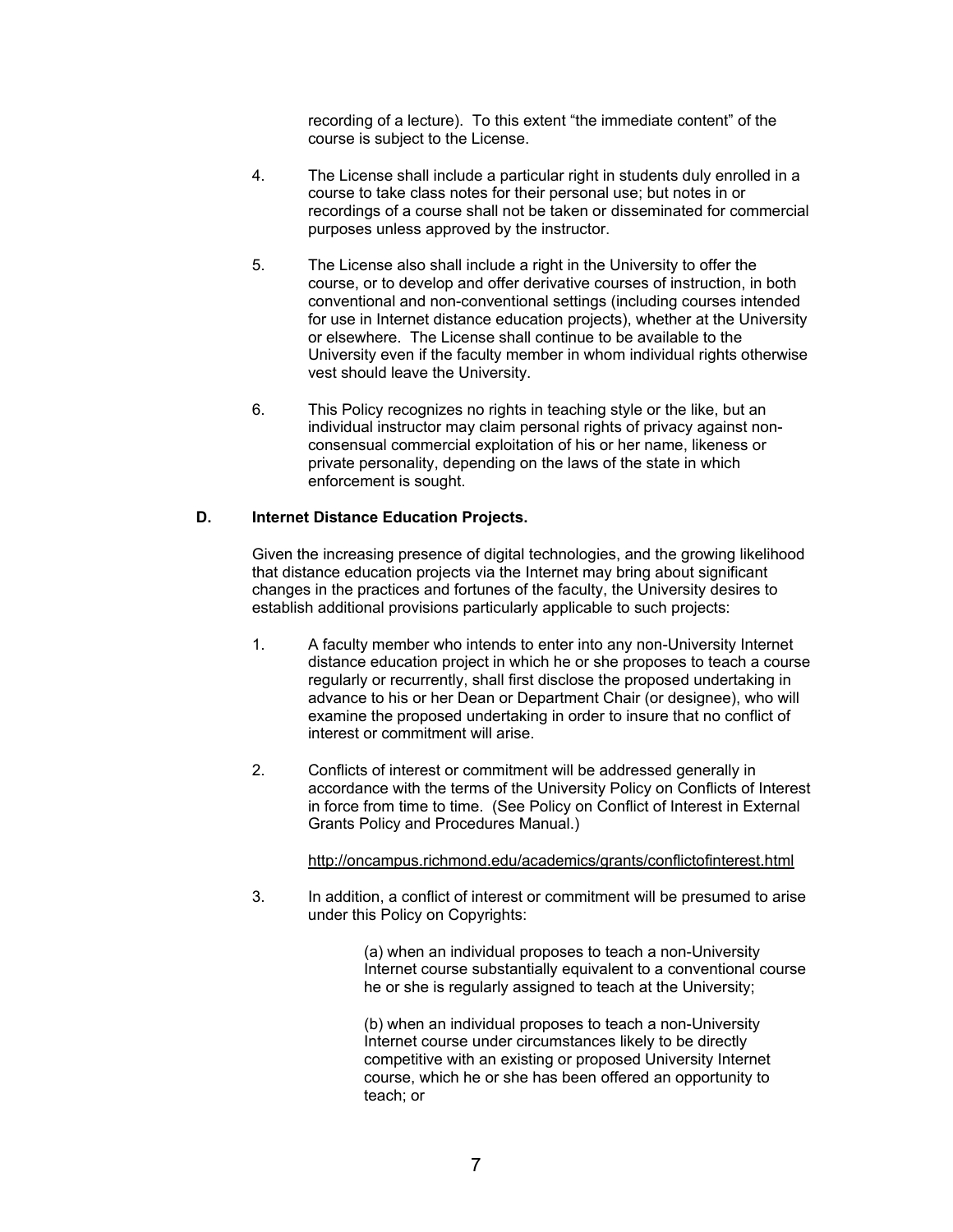recording of a lecture). To this extent "the immediate content" of the course is subject to the License.

- 4. The License shall include a particular right in students duly enrolled in a course to take class notes for their personal use; but notes in or recordings of a course shall not be taken or disseminated for commercial purposes unless approved by the instructor.
- 5. The License also shall include a right in the University to offer the course, or to develop and offer derivative courses of instruction, in both conventional and non-conventional settings (including courses intended for use in Internet distance education projects), whether at the University or elsewhere. The License shall continue to be available to the University even if the faculty member in whom individual rights otherwise vest should leave the University.
- 6. This Policy recognizes no rights in teaching style or the like, but an individual instructor may claim personal rights of privacy against nonconsensual commercial exploitation of his or her name, likeness or private personality, depending on the laws of the state in which enforcement is sought.

# **D. Internet Distance Education Projects.**

Given the increasing presence of digital technologies, and the growing likelihood that distance education projects via the Internet may bring about significant changes in the practices and fortunes of the faculty, the University desires to establish additional provisions particularly applicable to such projects:

- 1. A faculty member who intends to enter into any non-University Internet distance education project in which he or she proposes to teach a course regularly or recurrently, shall first disclose the proposed undertaking in advance to his or her Dean or Department Chair (or designee), who will examine the proposed undertaking in order to insure that no conflict of interest or commitment will arise.
- 2. Conflicts of interest or commitment will be addressed generally in accordance with the terms of the University Policy on Conflicts of Interest in force from time to time. (See Policy on Conflict of Interest in External Grants Policy and Procedures Manual.)

# <http://oncampus.richmond.edu/academics/grants/conflictofinterest.html>

3. In addition, a conflict of interest or commitment will be presumed to arise under this Policy on Copyrights:

> (a) when an individual proposes to teach a non-University Internet course substantially equivalent to a conventional course he or she is regularly assigned to teach at the University;

(b) when an individual proposes to teach a non-University Internet course under circumstances likely to be directly competitive with an existing or proposed University Internet course, which he or she has been offered an opportunity to teach; or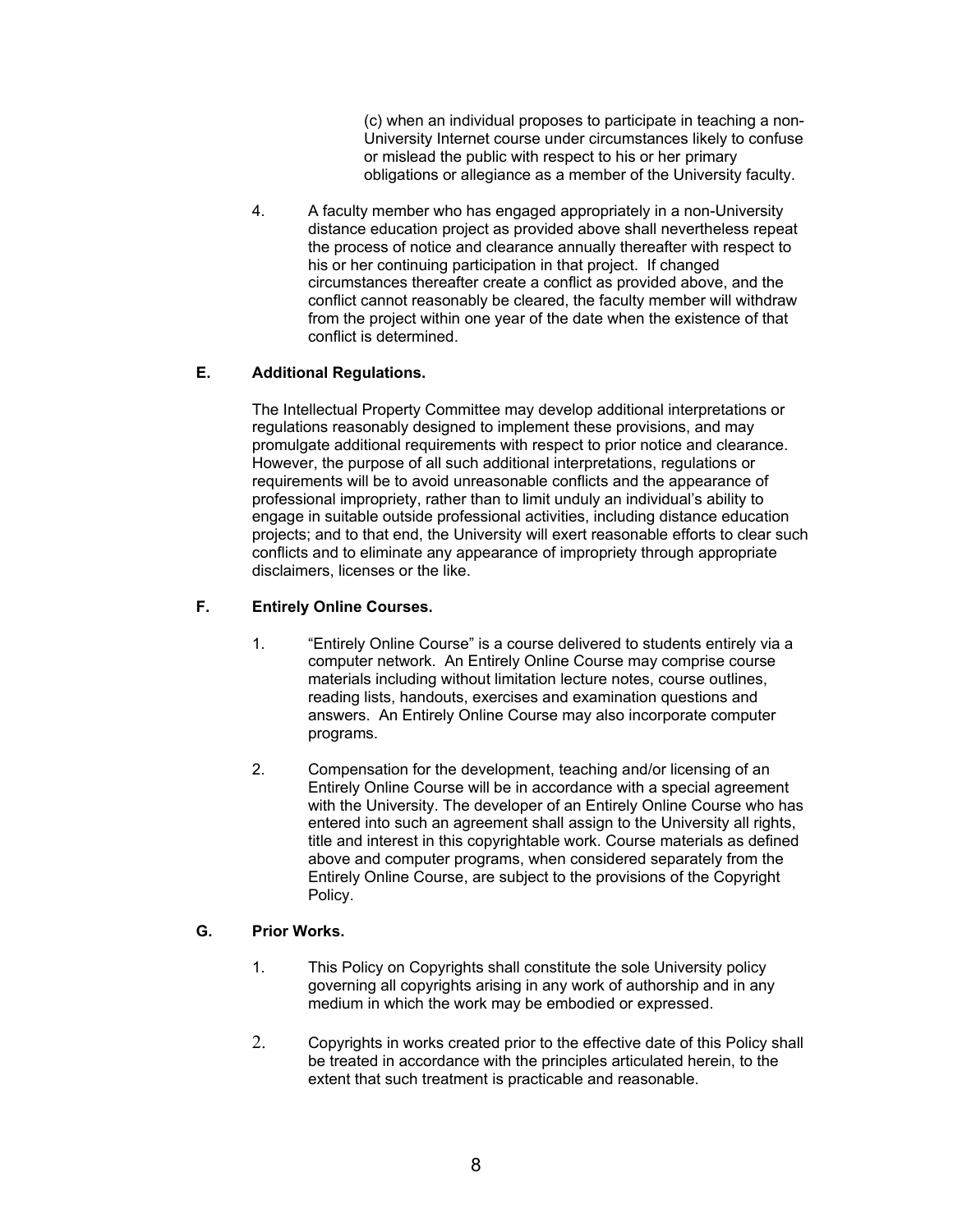(c) when an individual proposes to participate in teaching a non-University Internet course under circumstances likely to confuse or mislead the public with respect to his or her primary obligations or allegiance as a member of the University faculty.

4. A faculty member who has engaged appropriately in a non-University distance education project as provided above shall nevertheless repeat the process of notice and clearance annually thereafter with respect to his or her continuing participation in that project. If changed circumstances thereafter create a conflict as provided above, and the conflict cannot reasonably be cleared, the faculty member will withdraw from the project within one year of the date when the existence of that conflict is determined.

# **E. Additional Regulations.**

The Intellectual Property Committee may develop additional interpretations or regulations reasonably designed to implement these provisions, and may promulgate additional requirements with respect to prior notice and clearance. However, the purpose of all such additional interpretations, regulations or requirements will be to avoid unreasonable conflicts and the appearance of professional impropriety, rather than to limit unduly an individual's ability to engage in suitable outside professional activities, including distance education projects; and to that end, the University will exert reasonable efforts to clear such conflicts and to eliminate any appearance of impropriety through appropriate disclaimers, licenses or the like.

# **F. Entirely Online Courses.**

- 1. "Entirely Online Course" is a course delivered to students entirely via a computer network. An Entirely Online Course may comprise course materials including without limitation lecture notes, course outlines, reading lists, handouts, exercises and examination questions and answers. An Entirely Online Course may also incorporate computer programs.
- 2. Compensation for the development, teaching and/or licensing of an Entirely Online Course will be in accordance with a special agreement with the University. The developer of an Entirely Online Course who has entered into such an agreement shall assign to the University all rights, title and interest in this copyrightable work. Course materials as defined above and computer programs, when considered separately from the Entirely Online Course, are subject to the provisions of the Copyright Policy.

# **G. Prior Works.**

- 1. This Policy on Copyrights shall constitute the sole University policy governing all copyrights arising in any work of authorship and in any medium in which the work may be embodied or expressed.
- 2. Copyrights in works created prior to the effective date of this Policy shall be treated in accordance with the principles articulated herein, to the extent that such treatment is practicable and reasonable.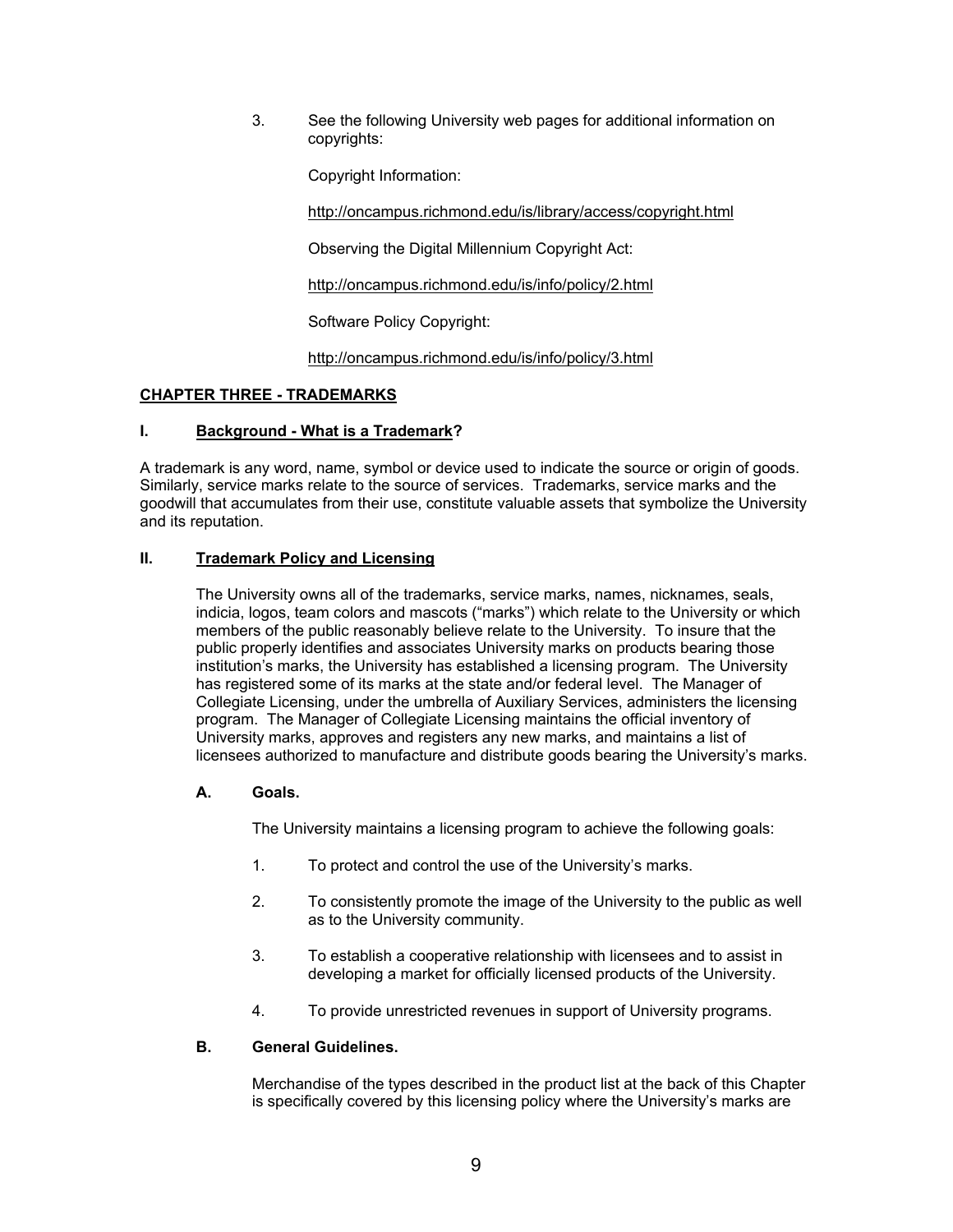3. See the following University web pages for additional information on copyrights:

Copyright Information:

<http://oncampus.richmond.edu/is/library/access/copyright.html>

Observing the Digital Millennium Copyright Act:

<http://oncampus.richmond.edu/is/info/policy/2.html>

Software Policy Copyright:

<http://oncampus.richmond.edu/is/info/policy/3.html>

### **CHAPTER THREE - TRADEMARKS**

### **I. Background - What is a Trademark?**

A trademark is any word, name, symbol or device used to indicate the source or origin of goods. Similarly, service marks relate to the source of services. Trademarks, service marks and the goodwill that accumulates from their use, constitute valuable assets that symbolize the University and its reputation.

### **II. Trademark Policy and Licensing**

The University owns all of the trademarks, service marks, names, nicknames, seals, indicia, logos, team colors and mascots ("marks") which relate to the University or which members of the public reasonably believe relate to the University. To insure that the public properly identifies and associates University marks on products bearing those institution's marks, the University has established a licensing program. The University has registered some of its marks at the state and/or federal level. The Manager of Collegiate Licensing, under the umbrella of Auxiliary Services, administers the licensing program. The Manager of Collegiate Licensing maintains the official inventory of University marks, approves and registers any new marks, and maintains a list of licensees authorized to manufacture and distribute goods bearing the University's marks.

#### **A. Goals.**

The University maintains a licensing program to achieve the following goals:

- 1. To protect and control the use of the University's marks.
- 2. To consistently promote the image of the University to the public as well as to the University community.
- 3. To establish a cooperative relationship with licensees and to assist in developing a market for officially licensed products of the University.
- 4. To provide unrestricted revenues in support of University programs.

#### **B. General Guidelines.**

Merchandise of the types described in the product list at the back of this Chapter is specifically covered by this licensing policy where the University's marks are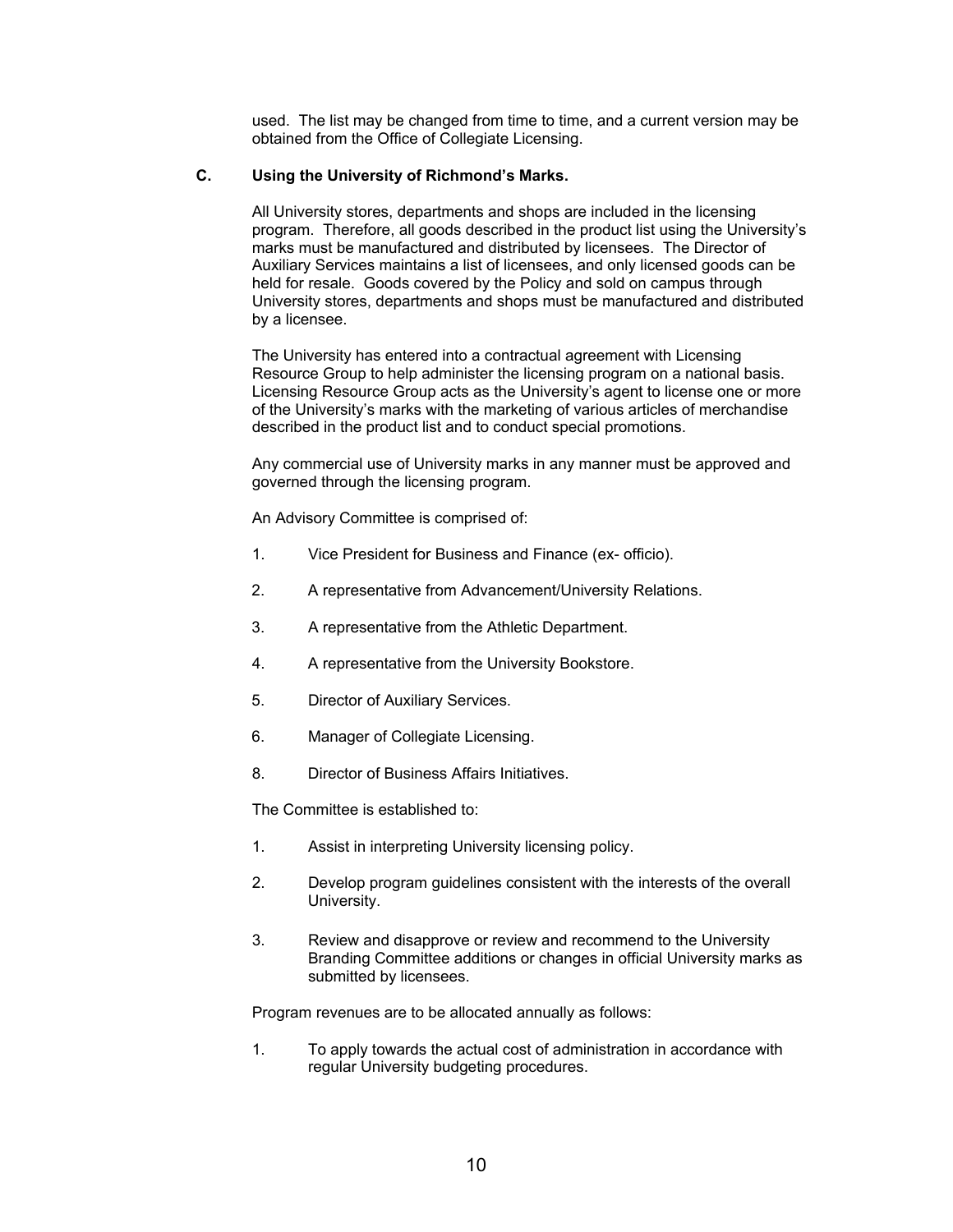used. The list may be changed from time to time, and a current version may be obtained from the Office of Collegiate Licensing.

### **C. Using the University of Richmond's Marks.**

All University stores, departments and shops are included in the licensing program. Therefore, all goods described in the product list using the University's marks must be manufactured and distributed by licensees. The Director of Auxiliary Services maintains a list of licensees, and only licensed goods can be held for resale. Goods covered by the Policy and sold on campus through University stores, departments and shops must be manufactured and distributed by a licensee.

The University has entered into a contractual agreement with Licensing Resource Group to help administer the licensing program on a national basis. Licensing Resource Group acts as the University's agent to license one or more of the University's marks with the marketing of various articles of merchandise described in the product list and to conduct special promotions.

Any commercial use of University marks in any manner must be approved and governed through the licensing program.

An Advisory Committee is comprised of:

- 1. Vice President for Business and Finance (ex- officio).
- 2. A representative from Advancement/University Relations.
- 3. A representative from the Athletic Department.
- 4. A representative from the University Bookstore.
- 5. Director of Auxiliary Services.
- 6. Manager of Collegiate Licensing.
- 8. Director of Business Affairs Initiatives.

The Committee is established to:

- 1. Assist in interpreting University licensing policy.
- 2. Develop program guidelines consistent with the interests of the overall University.
- 3. Review and disapprove or review and recommend to the University Branding Committee additions or changes in official University marks as submitted by licensees.

Program revenues are to be allocated annually as follows:

1. To apply towards the actual cost of administration in accordance with regular University budgeting procedures.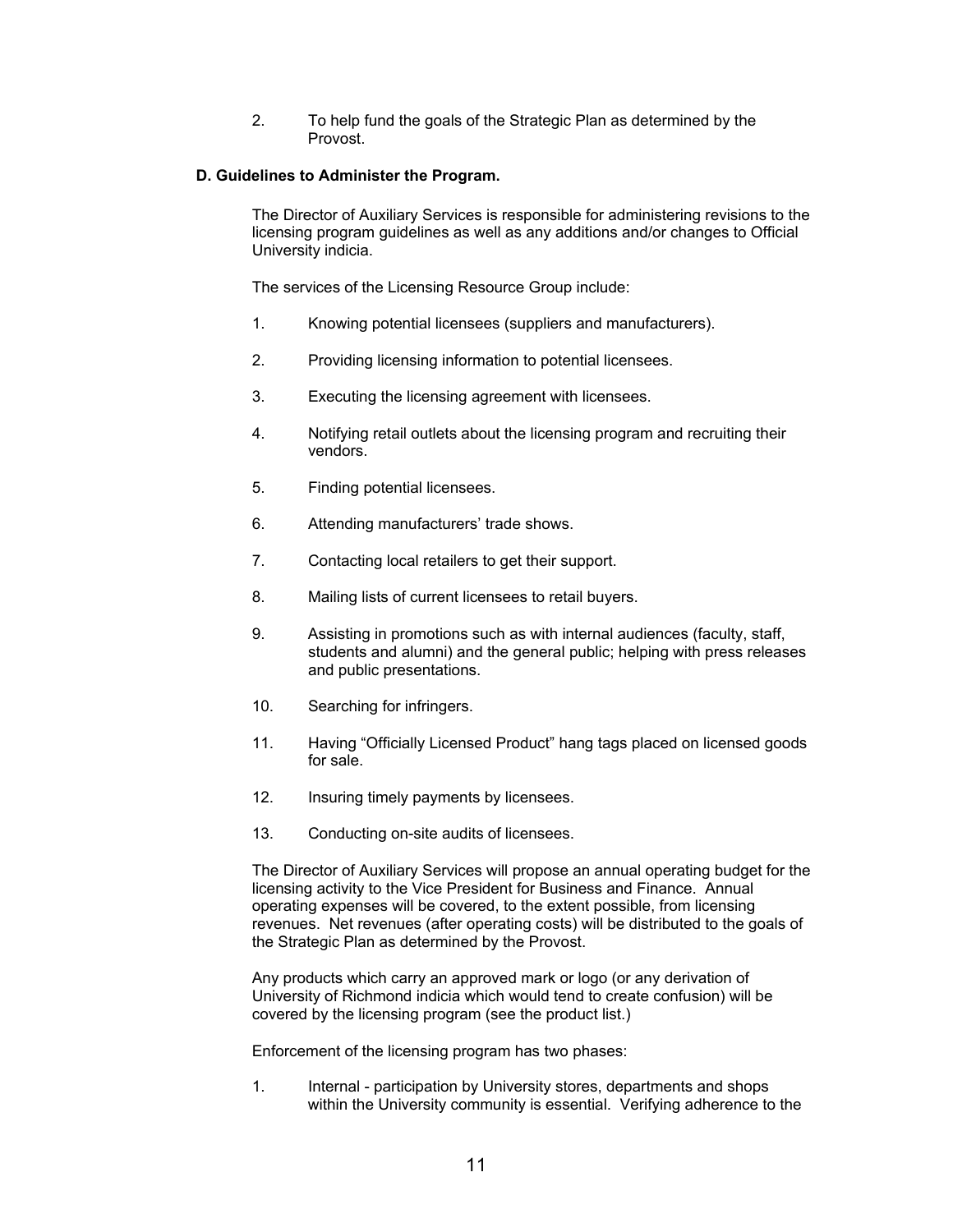2. To help fund the goals of the Strategic Plan as determined by the Provost.

### **D. Guidelines to Administer the Program.**

The Director of Auxiliary Services is responsible for administering revisions to the licensing program guidelines as well as any additions and/or changes to Official University indicia.

The services of the Licensing Resource Group include:

- 1. Knowing potential licensees (suppliers and manufacturers).
- 2. Providing licensing information to potential licensees.
- 3. Executing the licensing agreement with licensees.
- 4. Notifying retail outlets about the licensing program and recruiting their vendors.
- 5. Finding potential licensees.
- 6. Attending manufacturers' trade shows.
- 7. Contacting local retailers to get their support.
- 8. Mailing lists of current licensees to retail buyers.
- 9. Assisting in promotions such as with internal audiences (faculty, staff, students and alumni) and the general public; helping with press releases and public presentations.
- 10. Searching for infringers.
- 11. Having "Officially Licensed Product" hang tags placed on licensed goods for sale.
- 12. Insuring timely payments by licensees.
- 13. Conducting on-site audits of licensees.

The Director of Auxiliary Services will propose an annual operating budget for the licensing activity to the Vice President for Business and Finance. Annual operating expenses will be covered, to the extent possible, from licensing revenues. Net revenues (after operating costs) will be distributed to the goals of the Strategic Plan as determined by the Provost.

Any products which carry an approved mark or logo (or any derivation of University of Richmond indicia which would tend to create confusion) will be covered by the licensing program (see the product list.)

Enforcement of the licensing program has two phases:

1. Internal - participation by University stores, departments and shops within the University community is essential. Verifying adherence to the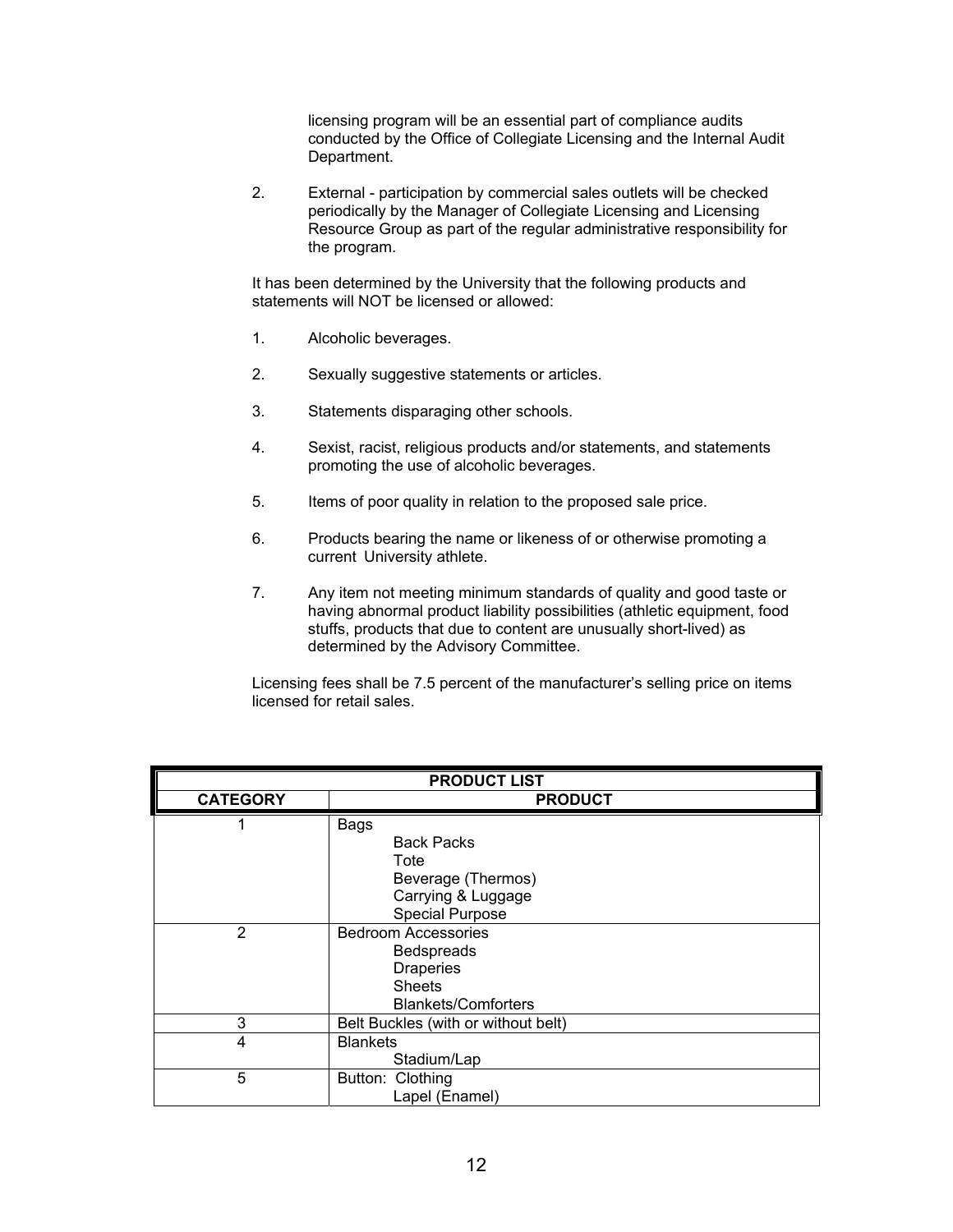licensing program will be an essential part of compliance audits conducted by the Office of Collegiate Licensing and the Internal Audit Department.

2. External - participation by commercial sales outlets will be checked periodically by the Manager of Collegiate Licensing and Licensing Resource Group as part of the regular administrative responsibility for the program.

It has been determined by the University that the following products and statements will NOT be licensed or allowed:

- 1. Alcoholic beverages.
- 2. Sexually suggestive statements or articles.
- 3. Statements disparaging other schools.
- 4. Sexist, racist, religious products and/or statements, and statements promoting the use of alcoholic beverages.
- 5. Items of poor quality in relation to the proposed sale price.
- 6. Products bearing the name or likeness of or otherwise promoting a current University athlete.
- 7. Any item not meeting minimum standards of quality and good taste or having abnormal product liability possibilities (athletic equipment, food stuffs, products that due to content are unusually short-lived) as determined by the Advisory Committee.

Licensing fees shall be 7.5 percent of the manufacturer's selling price on items licensed for retail sales.

| <b>PRODUCT LIST</b> |                                     |  |
|---------------------|-------------------------------------|--|
| <b>CATEGORY</b>     | <b>PRODUCT</b>                      |  |
|                     | <b>Bags</b>                         |  |
|                     | <b>Back Packs</b>                   |  |
|                     | Tote                                |  |
|                     | Beverage (Thermos)                  |  |
|                     | Carrying & Luggage                  |  |
|                     | <b>Special Purpose</b>              |  |
| $\overline{2}$      | <b>Bedroom Accessories</b>          |  |
|                     | <b>Bedspreads</b>                   |  |
|                     | <b>Draperies</b>                    |  |
|                     | <b>Sheets</b>                       |  |
|                     | <b>Blankets/Comforters</b>          |  |
| 3                   | Belt Buckles (with or without belt) |  |
| 4                   | <b>Blankets</b>                     |  |
|                     | Stadium/Lap                         |  |
| 5                   | Button: Clothing                    |  |
|                     | Lapel (Enamel)                      |  |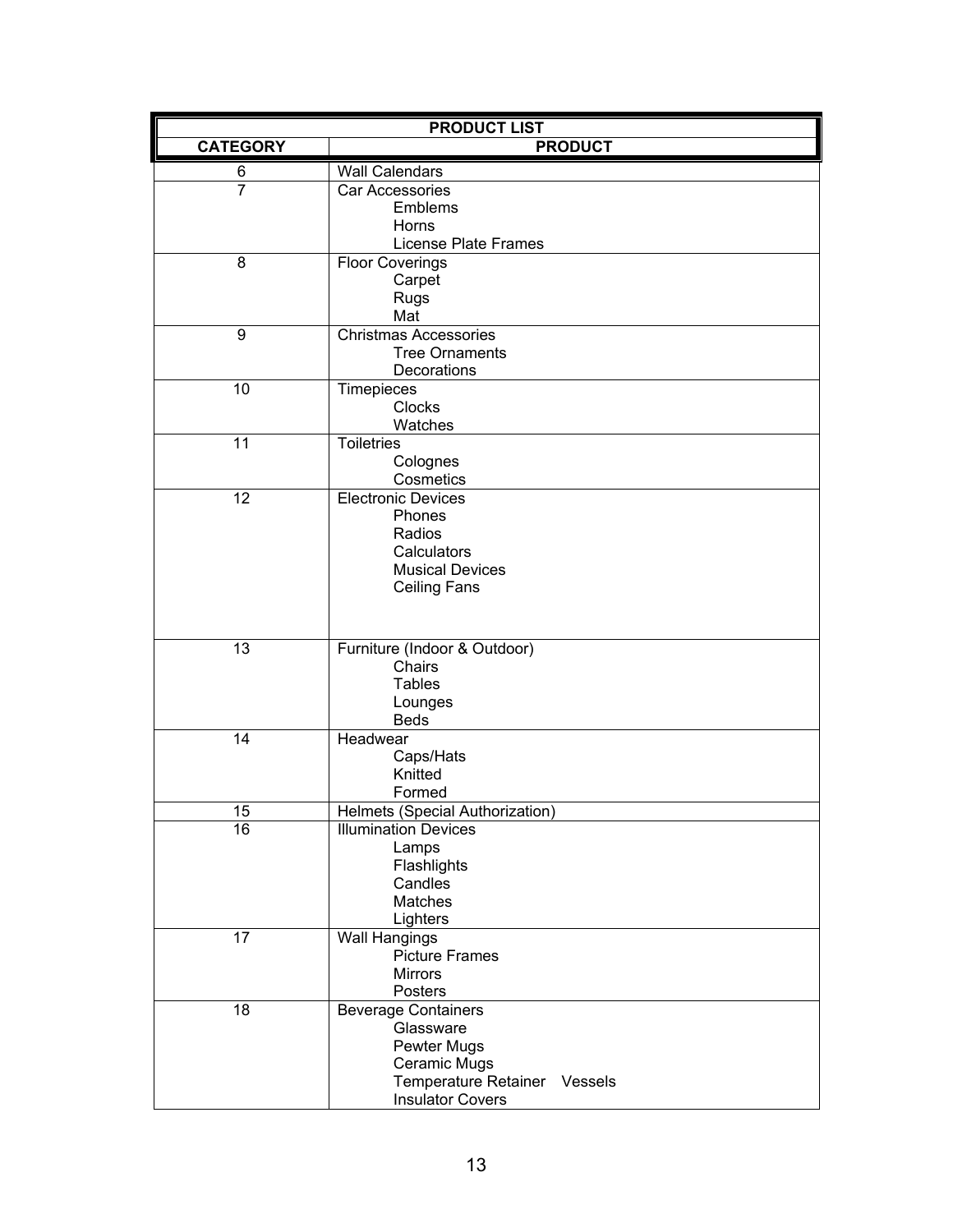|                  | <b>PRODUCT LIST</b>                                     |
|------------------|---------------------------------------------------------|
| <b>CATEGORY</b>  | <b>PRODUCT</b>                                          |
| 6                | <b>Wall Calendars</b>                                   |
| $\overline{7}$   | Car Accessories                                         |
|                  | Emblems                                                 |
|                  | Horns                                                   |
|                  | License Plate Frames                                    |
| 8                | <b>Floor Coverings</b>                                  |
|                  | Carpet<br>Rugs                                          |
|                  | Mat                                                     |
| $\boldsymbol{9}$ | <b>Christmas Accessories</b>                            |
|                  | <b>Tree Ornaments</b>                                   |
|                  | Decorations                                             |
| 10               | Timepieces                                              |
|                  | <b>Clocks</b>                                           |
|                  | Watches                                                 |
| 11               | <b>Toiletries</b>                                       |
|                  | Colognes<br>Cosmetics                                   |
| 12               | <b>Electronic Devices</b>                               |
|                  | Phones                                                  |
|                  | Radios                                                  |
|                  | Calculators                                             |
|                  | <b>Musical Devices</b>                                  |
|                  | <b>Ceiling Fans</b>                                     |
|                  |                                                         |
|                  |                                                         |
| 13               | Furniture (Indoor & Outdoor)                            |
|                  | Chairs                                                  |
|                  | <b>Tables</b>                                           |
|                  | Lounges<br><b>Beds</b>                                  |
| 14               | Headwear                                                |
|                  | Caps/Hats                                               |
|                  | Knitted                                                 |
|                  | Formed                                                  |
| 15               | Helmets (Special Authorization)                         |
| 16               | <b>Illumination Devices</b>                             |
|                  | Lamps                                                   |
|                  | Flashlights                                             |
|                  | Candles<br>Matches                                      |
|                  | Lighters                                                |
| 17               | <b>Wall Hangings</b>                                    |
|                  | <b>Picture Frames</b>                                   |
|                  | <b>Mirrors</b>                                          |
|                  | Posters                                                 |
| 18               | <b>Beverage Containers</b>                              |
|                  | Glassware                                               |
|                  | Pewter Mugs                                             |
|                  | Ceramic Mugs                                            |
|                  | Temperature Retainer Vessels<br><b>Insulator Covers</b> |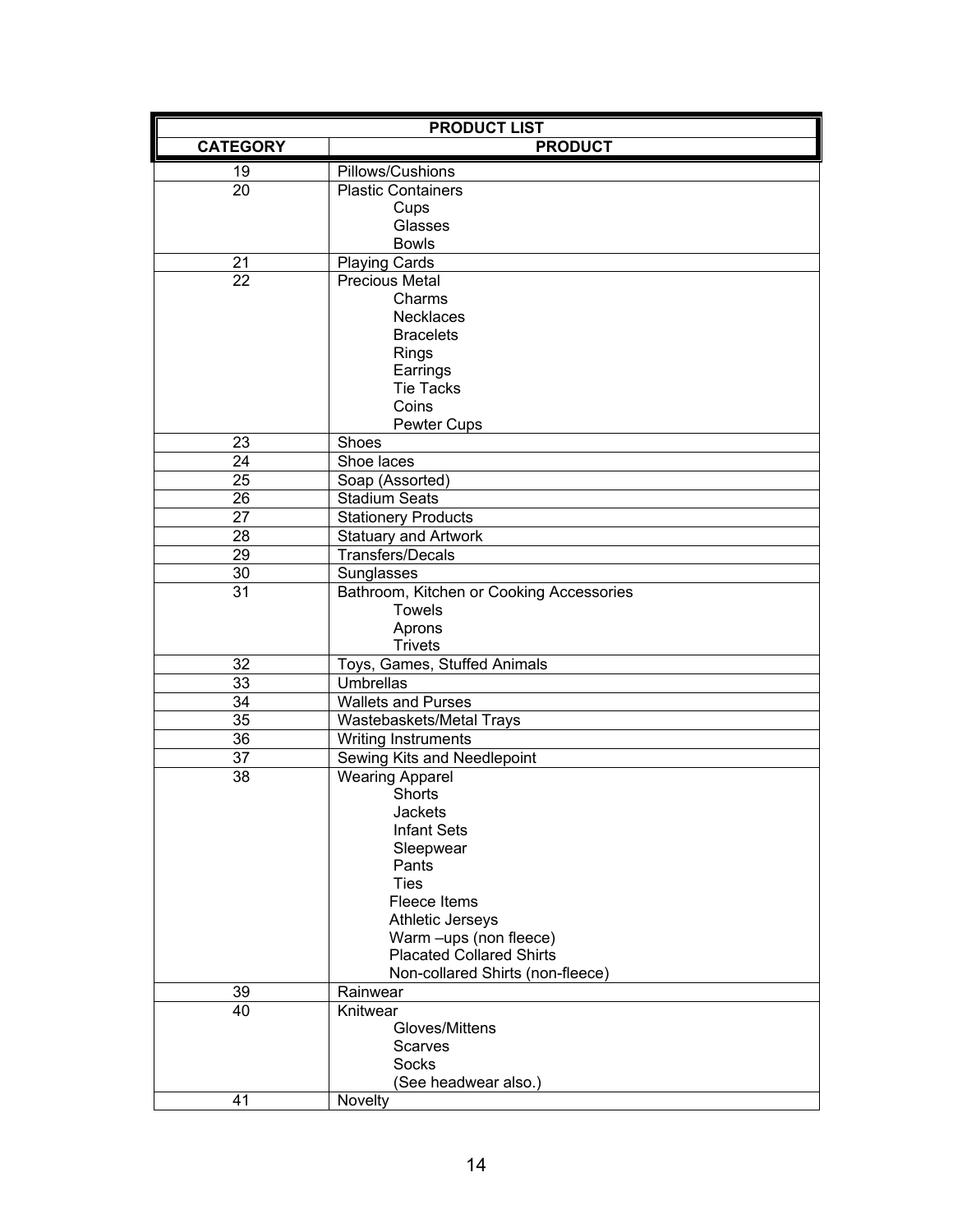| <b>PRODUCT LIST</b> |                                          |  |
|---------------------|------------------------------------------|--|
| <b>CATEGORY</b>     | <b>PRODUCT</b>                           |  |
| 19                  | Pillows/Cushions                         |  |
| 20                  | <b>Plastic Containers</b>                |  |
|                     | Cups                                     |  |
|                     | Glasses                                  |  |
|                     | <b>Bowls</b>                             |  |
| 21                  | Playing Cards                            |  |
| 22                  | <b>Precious Metal</b>                    |  |
|                     | Charms                                   |  |
|                     | <b>Necklaces</b>                         |  |
|                     | <b>Bracelets</b>                         |  |
|                     | <b>Rings</b><br>Earrings                 |  |
|                     | <b>Tie Tacks</b>                         |  |
|                     | Coins                                    |  |
|                     | Pewter Cups                              |  |
| 23                  | Shoes                                    |  |
| $\overline{24}$     | Shoe laces                               |  |
| $\overline{25}$     | Soap (Assorted)                          |  |
| $\overline{26}$     | <b>Stadium Seats</b>                     |  |
| 27                  | <b>Stationery Products</b>               |  |
| 28                  | <b>Statuary and Artwork</b>              |  |
| 29                  | <b>Transfers/Decals</b>                  |  |
| 30                  | Sunglasses                               |  |
| $\overline{31}$     | Bathroom, Kitchen or Cooking Accessories |  |
|                     | <b>Towels</b>                            |  |
|                     | Aprons                                   |  |
|                     | <b>Trivets</b>                           |  |
| 32                  | Toys, Games, Stuffed Animals             |  |
| $\overline{33}$     | <b>Umbrellas</b>                         |  |
| 34                  | <b>Wallets and Purses</b>                |  |
| $\overline{35}$     | Wastebaskets/Metal Trays                 |  |
| 36                  | <b>Writing Instruments</b>               |  |
| 37                  | Sewing Kits and Needlepoint              |  |
| 38                  | <b>Wearing Apparel</b><br><b>Shorts</b>  |  |
|                     | Jackets                                  |  |
|                     | <b>Infant Sets</b>                       |  |
|                     | Sleepwear                                |  |
|                     | Pants                                    |  |
|                     | <b>Ties</b>                              |  |
|                     | Fleece Items                             |  |
|                     | <b>Athletic Jerseys</b>                  |  |
|                     | Warm -ups (non fleece)                   |  |
|                     | <b>Placated Collared Shirts</b>          |  |
|                     | Non-collared Shirts (non-fleece)         |  |
| 39                  | Rainwear                                 |  |
| 40                  | Knitwear                                 |  |
|                     | Gloves/Mittens                           |  |
|                     | Scarves<br>Socks                         |  |
|                     | (See headwear also.)                     |  |
| 41                  | Novelty                                  |  |
|                     |                                          |  |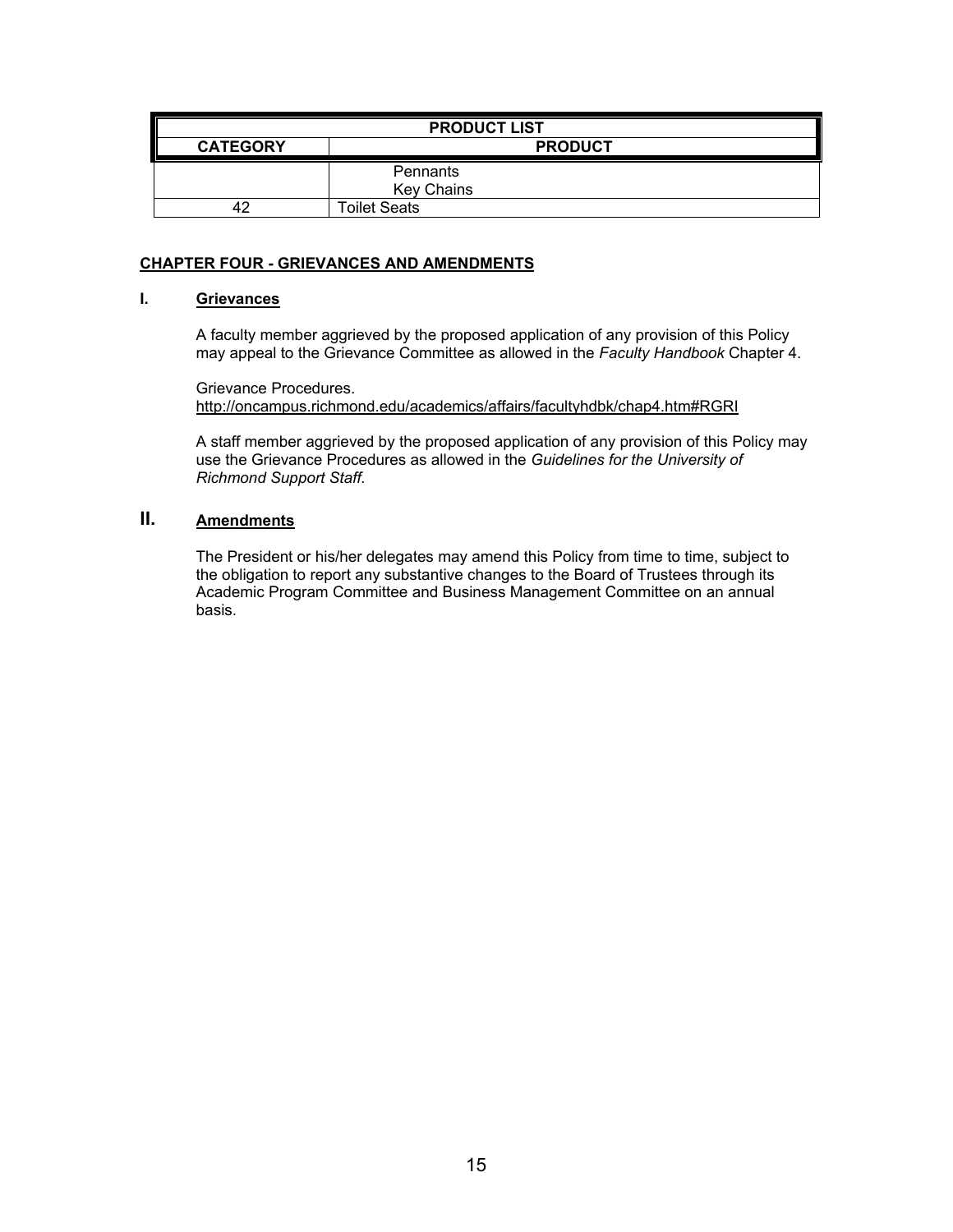| <b>PRODUCT LIST</b> |                               |  |
|---------------------|-------------------------------|--|
| <b>CATEGORY</b>     | <b>PRODUCT</b>                |  |
|                     | Pennants<br><b>Key Chains</b> |  |
| 17                  | <b>Toilet Seats</b>           |  |

# **CHAPTER FOUR - GRIEVANCES AND AMENDMENTS**

# **I. Grievances**

A faculty member aggrieved by the proposed application of any provision of this Policy may appeal to the Grievance Committee as allowed in the *Faculty Handbook* Chapter 4.

Grievance Procedures. http://oncampus.richmond.edu/academics/affairs/facultyhdbk/chap4.htm#RGRI

A staff member aggrieved by the proposed application of any provision of this Policy may use the Grievance Procedures as allowed in the *Guidelines for the University of Richmond Support Staff.* 

# **II. Amendments**

The President or his/her delegates may amend this Policy from time to time, subject to the obligation to report any substantive changes to the Board of Trustees through its Academic Program Committee and Business Management Committee on an annual basis.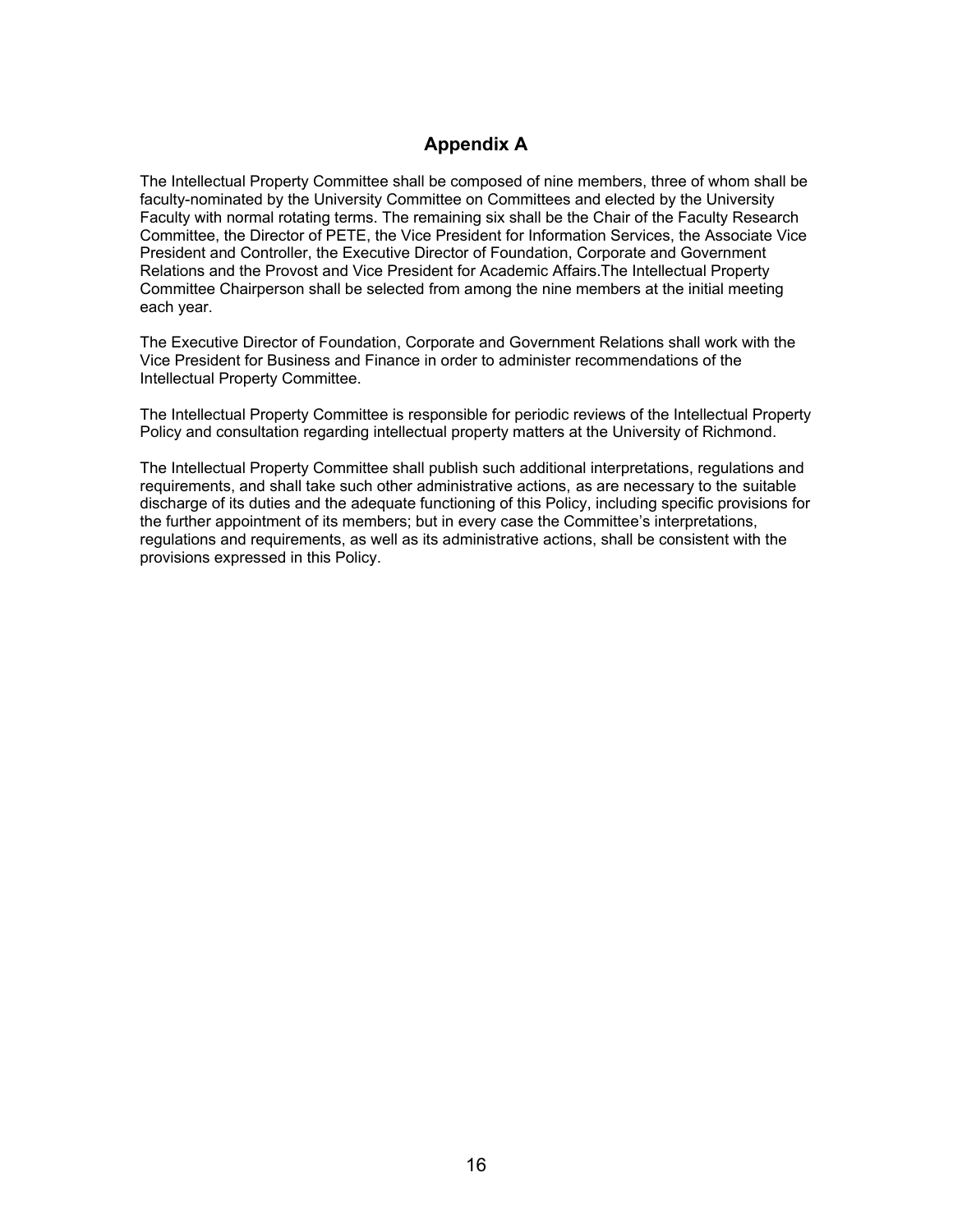# **Appendix A**

The Intellectual Property Committee shall be composed of nine members, three of whom shall be faculty-nominated by the University Committee on Committees and elected by the University Faculty with normal rotating terms. The remaining six shall be the Chair of the Faculty Research Committee, the Director of PETE, the Vice President for Information Services, the Associate Vice President and Controller, the Executive Director of Foundation, Corporate and Government Relations and the Provost and Vice President for Academic Affairs.The Intellectual Property Committee Chairperson shall be selected from among the nine members at the initial meeting each year.

The Executive Director of Foundation, Corporate and Government Relations shall work with the Vice President for Business and Finance in order to administer recommendations of the Intellectual Property Committee.

The Intellectual Property Committee is responsible for periodic reviews of the Intellectual Property Policy and consultation regarding intellectual property matters at the University of Richmond.

The Intellectual Property Committee shall publish such additional interpretations, regulations and requirements, and shall take such other administrative actions, as are necessary to the suitable discharge of its duties and the adequate functioning of this Policy, including specific provisions for the further appointment of its members; but in every case the Committee's interpretations, regulations and requirements, as well as its administrative actions, shall be consistent with the provisions expressed in this Policy.